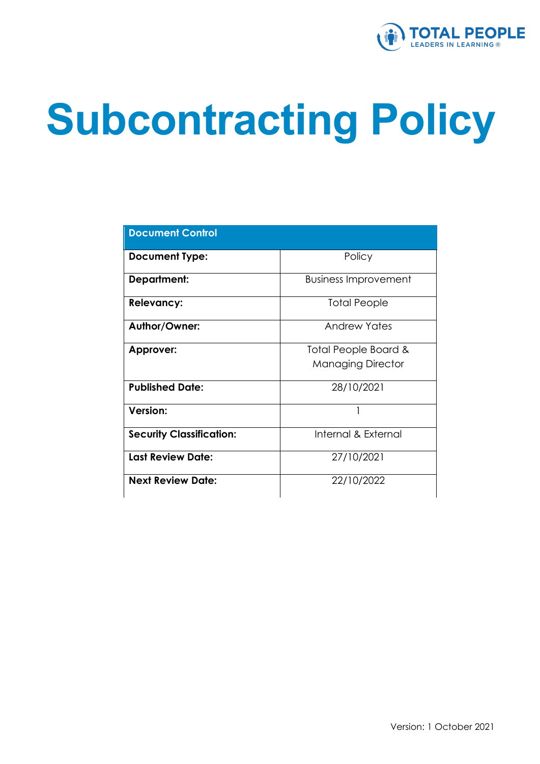

# **Subcontracting Policy**

| <b>Document Control</b>         |                             |
|---------------------------------|-----------------------------|
| <b>Document Type:</b>           | Policy                      |
| <b>Department:</b>              | <b>Business Improvement</b> |
| <b>Relevancy:</b>               | Total People                |
| Author/Owner:                   | Andrew Yates                |
| Approver:                       | Total People Board &        |
|                                 | <b>Managing Director</b>    |
| <b>Published Date:</b>          | 28/10/2021                  |
| <b>Version:</b>                 |                             |
| <b>Security Classification:</b> | Internal & External         |
| <b>Last Review Date:</b>        | 27/10/2021                  |
| <b>Next Review Date:</b>        | 22/10/2022                  |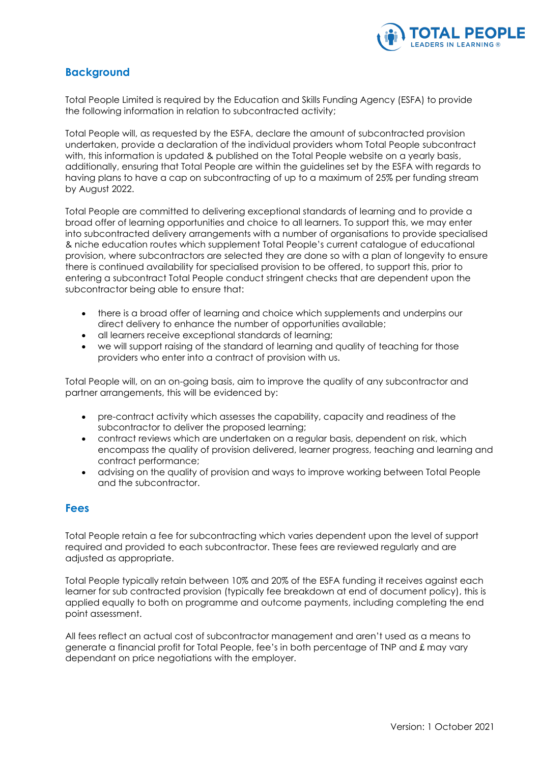

#### **Background**

Total People Limited is required by the Education and Skills Funding Agency (ESFA) to provide the following information in relation to subcontracted activity;

Total People will, as requested by the ESFA, declare the amount of subcontracted provision undertaken, provide a declaration of the individual providers whom Total People subcontract with, this information is updated & published on the Total People website on a yearly basis, additionally, ensuring that Total People are within the guidelines set by the ESFA with regards to having plans to have a cap on subcontracting of up to a maximum of 25% per funding stream by August 2022.

Total People are committed to delivering exceptional standards of learning and to provide a broad offer of learning opportunities and choice to all learners. To support this, we may enter into subcontracted delivery arrangements with a number of organisations to provide specialised & niche education routes which supplement Total People's current catalogue of educational provision, where subcontractors are selected they are done so with a plan of longevity to ensure there is continued availability for specialised provision to be offered, to support this, prior to entering a subcontract Total People conduct stringent checks that are dependent upon the subcontractor being able to ensure that:

- there is a broad offer of learning and choice which supplements and underpins our direct delivery to enhance the number of opportunities available;
- all learners receive exceptional standards of learning;
- we will support raising of the standard of learning and quality of teaching for those providers who enter into a contract of provision with us.

Total People will, on an on-going basis, aim to improve the quality of any subcontractor and partner arrangements, this will be evidenced by:

- pre-contract activity which assesses the capability, capacity and readiness of the subcontractor to deliver the proposed learning;
- contract reviews which are undertaken on a regular basis, dependent on risk, which encompass the quality of provision delivered, learner progress, teaching and learning and contract performance;
- advising on the quality of provision and ways to improve working between Total People and the subcontractor.

#### **Fees**

Total People retain a fee for subcontracting which varies dependent upon the level of support required and provided to each subcontractor. These fees are reviewed regularly and are adjusted as appropriate.

Total People typically retain between 10% and 20% of the ESFA funding it receives against each learner for sub contracted provision (typically fee breakdown at end of document policy), this is applied equally to both on programme and outcome payments, including completing the end point assessment.

All fees reflect an actual cost of subcontractor management and aren't used as a means to generate a financial profit for Total People, fee's in both percentage of TNP and £ may vary dependant on price negotiations with the employer.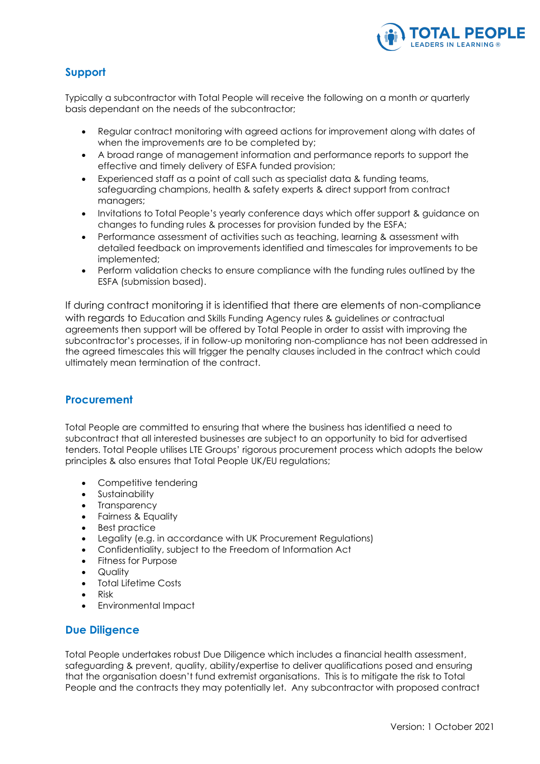

#### **Support**

Typically a subcontractor with Total People will receive the following on a month *or* quarterly basis dependant on the needs of the subcontractor;

- Regular contract monitoring with agreed actions for improvement along with dates of when the improvements are to be completed by;
- A broad range of management information and performance reports to support the effective and timely delivery of ESFA funded provision;
- Experienced staff as a point of call such as specialist data & funding teams, safeguarding champions, health & safety experts & direct support from contract managers;
- Invitations to Total People's yearly conference days which offer support & guidance on changes to funding rules & processes for provision funded by the ESFA;
- Performance assessment of activities such as teaching, learning & assessment with detailed feedback on improvements identified and timescales for improvements to be implemented;
- Perform validation checks to ensure compliance with the funding rules outlined by the ESFA (submission based).

If during contract monitoring it is identified that there are elements of non-compliance with regards to Education and Skills Funding Agency rules & guidelines *or* contractual agreements then support will be offered by Total People in order to assist with improving the subcontractor's processes, if in follow-up monitoring non-compliance has not been addressed in the agreed timescales this will trigger the penalty clauses included in the contract which could ultimately mean termination of the contract.

#### **Procurement**

Total People are committed to ensuring that where the business has identified a need to subcontract that all interested businesses are subject to an opportunity to bid for advertised tenders. Total People utilises LTE Groups' rigorous procurement process which adopts the below principles & also ensures that Total People UK/EU regulations;

- Competitive tendering
- Sustainability
- Transparency
- Fairness & Equality
- Best practice
- Legality (e.g. in accordance with UK Procurement Regulations)
- Confidentiality, subject to the Freedom of Information Act
- Fitness for Purpose
- Quality
- Total Lifetime Costs
- Risk
- Environmental Impact

#### **Due Diligence**

Total People undertakes robust Due Diligence which includes a financial health assessment, safeguarding & prevent, quality, ability/expertise to deliver qualifications posed and ensuring that the organisation doesn't fund extremist organisations. This is to mitigate the risk to Total People and the contracts they may potentially let. Any subcontractor with proposed contract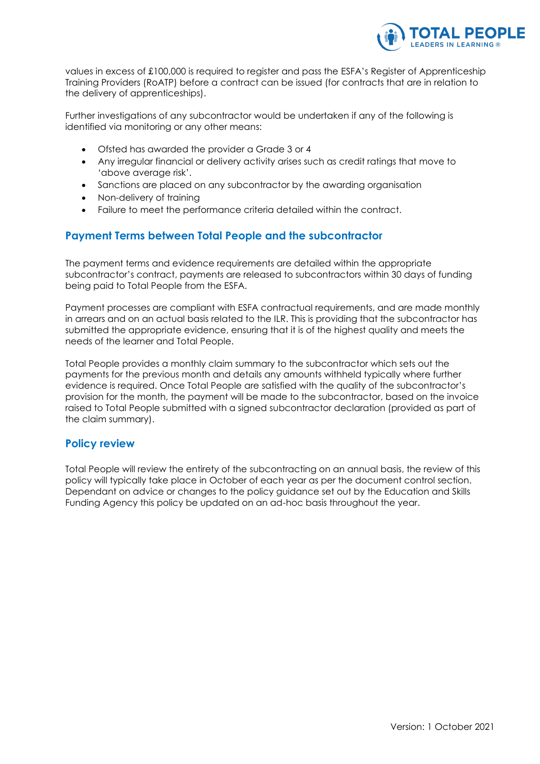

values in excess of £100,000 is required to register and pass the ESFA's Register of Apprenticeship Training Providers (RoATP) before a contract can be issued (for contracts that are in relation to the delivery of apprenticeships).

Further investigations of any subcontractor would be undertaken if any of the following is identified via monitoring or any other means:

- Ofsted has awarded the provider a Grade 3 or 4
- Any irregular financial or delivery activity arises such as credit ratings that move to 'above average risk'.
- Sanctions are placed on any subcontractor by the awarding organisation
- Non-delivery of training
- Failure to meet the performance criteria detailed within the contract.

#### **Payment Terms between Total People and the subcontractor**

The payment terms and evidence requirements are detailed within the appropriate subcontractor's contract, payments are released to subcontractors within 30 days of funding being paid to Total People from the ESFA.

Payment processes are compliant with ESFA contractual requirements, and are made monthly in arrears and on an actual basis related to the ILR. This is providing that the subcontractor has submitted the appropriate evidence, ensuring that it is of the highest quality and meets the needs of the learner and Total People.

Total People provides a monthly claim summary to the subcontractor which sets out the payments for the previous month and details any amounts withheld typically where further evidence is required. Once Total People are satisfied with the quality of the subcontractor's provision for the month, the payment will be made to the subcontractor, based on the invoice raised to Total People submitted with a signed subcontractor declaration (provided as part of the claim summary).

#### **Policy review**

Total People will review the entirety of the subcontracting on an annual basis, the review of this policy will typically take place in October of each year as per the document control section. Dependant on advice or changes to the policy guidance set out by the Education and Skills Funding Agency this policy be updated on an ad-hoc basis throughout the year.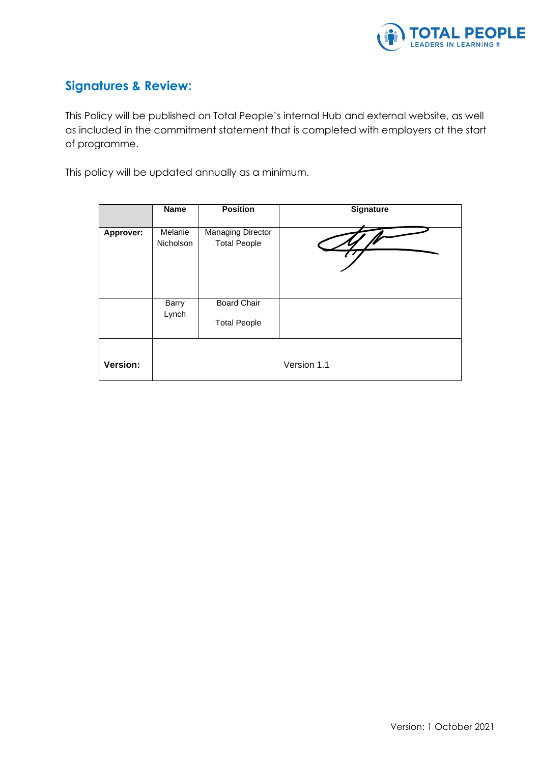

### **Signatures & Review:**

This Policy will be published on Total People's internal Hub and external website, as well as included in the commitment statement that is completed with employers at the start of programme.

This policy will be updated annually as a minimum.

|           | <b>Name</b>                 | <b>Position</b>                                 | <b>Signature</b> |
|-----------|-----------------------------|-------------------------------------------------|------------------|
| Approver: | Melanie<br><b>Nicholson</b> | <b>Managing Director</b><br><b>Total People</b> |                  |
|           | <b>Barry</b><br>Lynch       | <b>Board Chair</b><br><b>Total People</b>       |                  |
| Version:  |                             |                                                 | Version 1.1      |